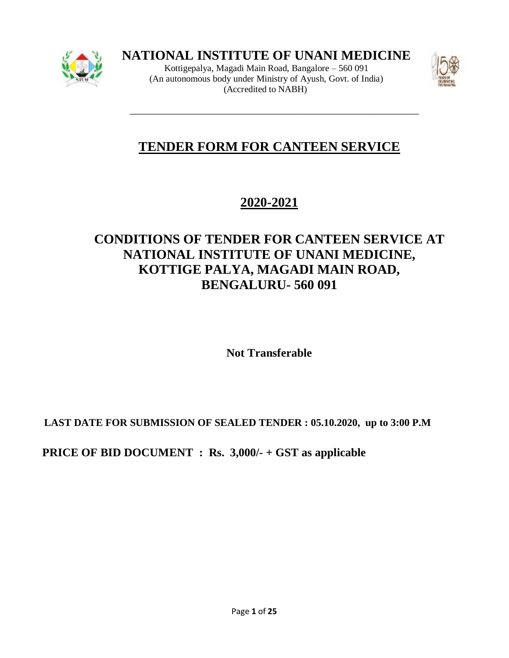

**NATIONAL INSTITUTE OF UNANI MEDICINE**

Kottigepalya, Magadi Main Road, Bangalore – 560 091 (An autonomous body under Ministry of Ayush, Govt. of India) (Accredited to NABH)

\_\_\_\_\_\_\_\_\_\_\_\_\_\_\_\_\_\_\_\_\_\_\_\_\_\_\_\_\_\_\_\_\_\_\_\_\_\_\_\_\_\_\_\_\_\_\_\_\_\_\_\_\_\_\_\_\_\_



# **TENDER FORM FOR CANTEEN SERVICE**

# **2020-2021**

# **CONDITIONS OF TENDER FOR CANTEEN SERVICE AT NATIONAL INSTITUTE OF UNANI MEDICINE, KOTTIGE PALYA, MAGADI MAIN ROAD, BENGALURU- 560 091**

**Not Transferable**

 **LAST DATE FOR SUBMISSION OF SEALED TENDER : 05.10.2020, up to 3:00 P.M**

 **PRICE OF BID DOCUMENT : Rs. 3,000/- + GST as applicable**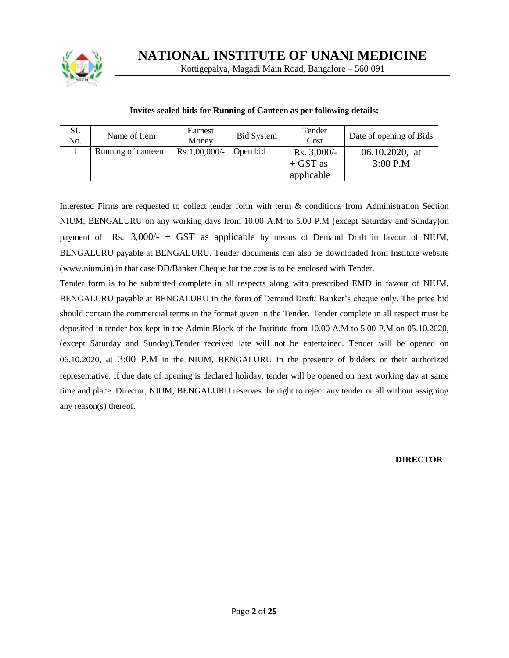

**NATIONAL INSTITUTE OF UNANI MEDICINE**

Kottigepalya, Magadi Main Road, Bangalore – 560 091

#### **Invites sealed bids for Running of Canteen as per following details:**

| SL<br>No. | Name of Item       | Earnest<br>Money | <b>Bid System</b> | Tender<br>Cost | Date of opening of Bids |
|-----------|--------------------|------------------|-------------------|----------------|-------------------------|
|           | Running of canteen | $Rs.1,00,000/$ - | Open bid          | $Rs. 3,000/-$  | 06.10.2020, at          |
|           |                    |                  |                   | $+$ GST as     | $3:00$ P.M              |
|           |                    |                  |                   | applicable     |                         |

Interested Firms are requested to collect tender form with term & conditions from Administration Section NIUM, BENGALURU on any working days from 10.00 A.M to 5.00 P.M (except Saturday and Sunday)on payment of Rs.  $3,000/ - + GST$  as applicable by means of Demand Draft in favour of NIUM, BENGALURU payable at BENGALURU. Tender documents can also be downloaded from Institute website (www.nium.in) in that case DD/Banker Cheque for the cost is to be enclosed with Tender.

Tender form is to be submitted complete in all respects along with prescribed EMD in favour of NIUM, BENGALURU payable at BENGALURU in the form of Demand Draft/ Banker's cheque only. The price bid should contain the commercial terms in the format given in the Tender. Tender complete in all respect must be deposited in tender box kept in the Admin Block of the Institute from 10.00 A.M to 5.00 P.M on 05.10.2020, (except Saturday and Sunday).Tender received late will not be entertained. Tender will be opened on 06.10.2020, at 3:00 P.M in the NIUM, BENGALURU in the presence of bidders or their authorized representative. If due date of opening is declared holiday, tender will be opened on next working day at same time and place. Director, NIUM, BENGALURU reserves the right to reject any tender or all without assigning any reason(s) thereof.

#### **DIRECTOR**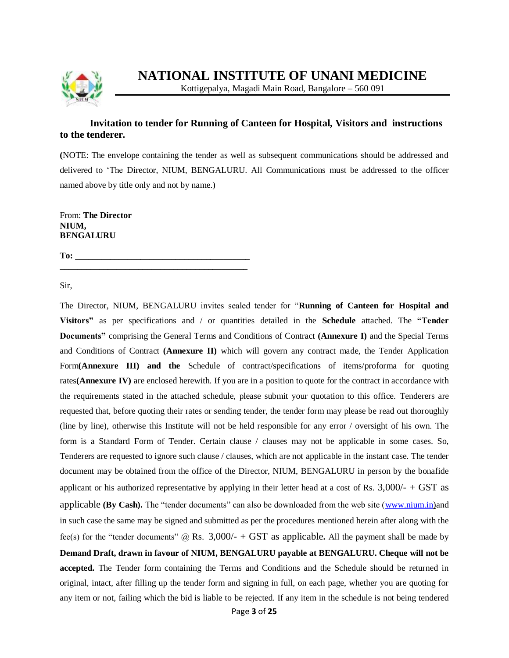

# **Invitation to tender for Running of Canteen for Hospital, Visitors and instructions to the tenderer.**

**(**NOTE: The envelope containing the tender as well as subsequent communications should be addressed and delivered to 'The Director, NIUM, BENGALURU. All Communications must be addressed to the officer named above by title only and not by name.)

From: **The Director NIUM, BENGALURU**

**To: \_\_\_\_\_\_\_\_\_\_\_\_\_\_\_\_\_\_\_\_\_\_\_\_\_\_\_\_\_\_\_\_\_\_\_\_\_\_\_\_\_\_\_**

Sir,

The Director, NIUM, BENGALURU invites sealed tender for "**Running of Canteen for Hospital and Visitors"** as per specifications and / or quantities detailed in the **Schedule** attached. The **"Tender Documents"** comprising the General Terms and Conditions of Contract **(Annexure I)** and the Special Terms and Conditions of Contract **(Annexure II)** which will govern any contract made, the Tender Application Form**(Annexure III) and the** Schedule of contract/specifications of items/proforma for quoting rates**(Annexure IV)** are enclosed herewith. If you are in a position to quote for the contract in accordance with the requirements stated in the attached schedule, please submit your quotation to this office. Tenderers are requested that, before quoting their rates or sending tender, the tender form may please be read out thoroughly (line by line), otherwise this Institute will not be held responsible for any error / oversight of his own. The form is a Standard Form of Tender. Certain clause / clauses may not be applicable in some cases. So, Tenderers are requested to ignore such clause / clauses, which are not applicable in the instant case. The tender document may be obtained from the office of the Director, NIUM, BENGALURU in person by the bonafide applicant or his authorized representative by applying in their letter head at a cost of Rs.  $3,000/+$  GST as applicable **(By Cash).** The "tender documents" can also be downloaded from the web site [\(www.nium.in\)](http://www.nium.in/)and in such case the same may be signed and submitted as per the procedures mentioned herein after along with the fee(s) for the "tender documents"  $\omega$  Rs. 3,000/- + GST as applicable. All the payment shall be made by **Demand Draft, drawn in favour of NIUM, BENGALURU payable at BENGALURU. Cheque will not be accepted.** The Tender form containing the Terms and Conditions and the Schedule should be returned in original, intact, after filling up the tender form and signing in full, on each page, whether you are quoting for any item or not, failing which the bid is liable to be rejected. If any item in the schedule is not being tendered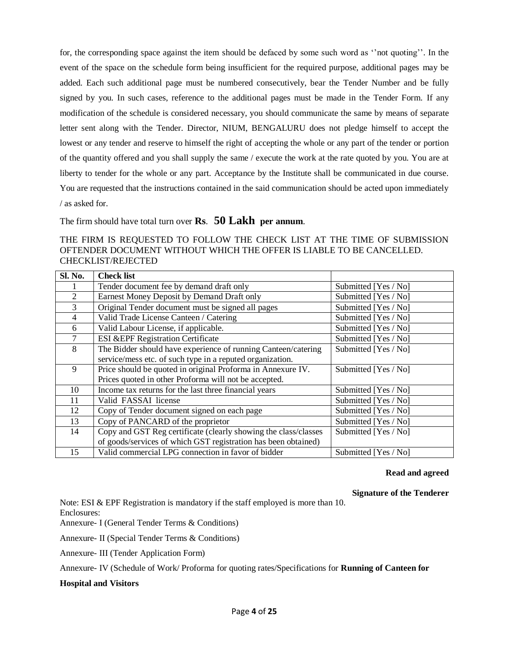for, the corresponding space against the item should be defaced by some such word as ''not quoting''. In the event of the space on the schedule form being insufficient for the required purpose, additional pages may be added. Each such additional page must be numbered consecutively, bear the Tender Number and be fully signed by you. In such cases, reference to the additional pages must be made in the Tender Form. If any modification of the schedule is considered necessary, you should communicate the same by means of separate letter sent along with the Tender. Director, NIUM, BENGALURU does not pledge himself to accept the lowest or any tender and reserve to himself the right of accepting the whole or any part of the tender or portion of the quantity offered and you shall supply the same / execute the work at the rate quoted by you. You are at liberty to tender for the whole or any part. Acceptance by the Institute shall be communicated in due course. You are requested that the instructions contained in the said communication should be acted upon immediately / as asked for.

The firm should have total turn over **Rs**. **50 Lakh per annum**.

## THE FIRM IS REQUESTED TO FOLLOW THE CHECK LIST AT THE TIME OF SUBMISSION OFTENDER DOCUMENT WITHOUT WHICH THE OFFER IS LIABLE TO BE CANCELLED. CHECKLIST/REJECTED

| <b>Sl. No.</b> | <b>Check list</b>                                               |                      |
|----------------|-----------------------------------------------------------------|----------------------|
|                | Tender document fee by demand draft only                        | Submitted [Yes / No] |
| $\overline{2}$ | Earnest Money Deposit by Demand Draft only                      | Submitted [Yes / No] |
| 3              | Original Tender document must be signed all pages               | Submitted [Yes / No] |
| 4              | Valid Trade License Canteen / Catering                          | Submitted [Yes / No] |
| 6              | Valid Labour License, if applicable.                            | Submitted [Yes / No] |
| 7              | <b>ESI &amp;EPF Registration Certificate</b>                    | Submitted [Yes / No] |
| 8              | The Bidder should have experience of running Canteen/catering   | Submitted [Yes / No] |
|                | service/mess etc. of such type in a reputed organization.       |                      |
| 9              | Price should be quoted in original Proforma in Annexure IV.     | Submitted [Yes / No] |
|                | Prices quoted in other Proforma will not be accepted.           |                      |
| 10             | Income tax returns for the last three financial years           | Submitted [Yes / No] |
| 11             | Valid FASSAI license                                            | Submitted [Yes / No] |
| 12             | Copy of Tender document signed on each page                     | Submitted [Yes / No] |
| 13             | Copy of PANCARD of the proprietor                               | Submitted [Yes / No] |
| 14             | Copy and GST Reg certificate (clearly showing the class/classes | Submitted [Yes / No] |
|                | of goods/services of which GST registration has been obtained)  |                      |
| 15             | Valid commercial LPG connection in favor of bidder              | Submitted [Yes / No] |

# **Read and agreed**

**Signature of the Tenderer**

Note: ESI & EPF Registration is mandatory if the staff employed is more than 10. Enclosures:

Annexure- I (General Tender Terms & Conditions)

Annexure- II (Special Tender Terms & Conditions)

Annexure- III (Tender Application Form)

Annexure- IV (Schedule of Work/ Proforma for quoting rates/Specifications for **Running of Canteen for**

### **Hospital and Visitors**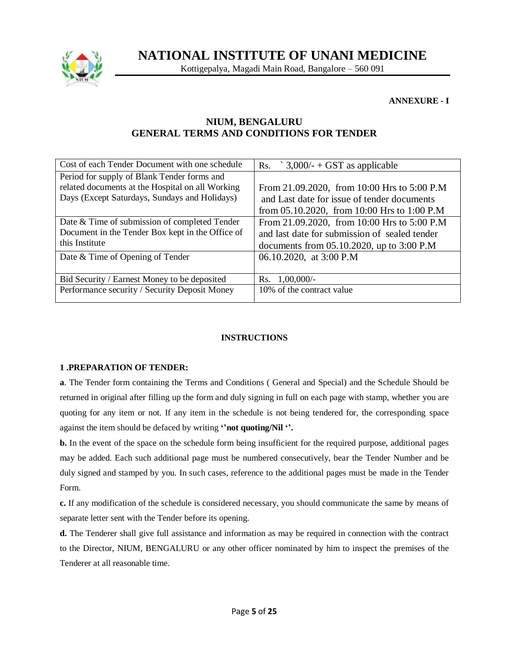

Kottigepalya, Magadi Main Road, Bangalore – 560 091

**ANNEXURE - I**

# **NIUM, BENGALURU GENERAL TERMS AND CONDITIONS FOR TENDER**

| Cost of each Tender Document with one schedule   | $3,000/ -$ + GST as applicable<br>Rs.              |
|--------------------------------------------------|----------------------------------------------------|
| Period for supply of Blank Tender forms and      |                                                    |
| related documents at the Hospital on all Working | From 21.09.2020, from 10:00 Hrs to 5:00 P.M        |
| Days (Except Saturdays, Sundays and Holidays)    | and Last date for issue of tender documents        |
|                                                  | from $05.10.2020$ , from $10:00$ Hrs to $1:00$ P.M |
| Date & Time of submission of completed Tender    | From 21.09.2020, from 10:00 Hrs to 5:00 P.M        |
| Document in the Tender Box kept in the Office of | and last date for submission of sealed tender      |
| this Institute                                   | documents from $05.10.2020$ , up to $3:00$ P.M     |
| Date & Time of Opening of Tender                 | 06.10.2020, at 3:00 P.M                            |
|                                                  |                                                    |
| Bid Security / Earnest Money to be deposited     | $1,00,000/-$<br>Rs.                                |
| Performance security / Security Deposit Money    | 10% of the contract value                          |
|                                                  |                                                    |

# **INSTRUCTIONS**

# **1 .PREPARATION OF TENDER:**

**a**. The Tender form containing the Terms and Conditions ( General and Special) and the Schedule Should be returned in original after filling up the form and duly signing in full on each page with stamp, whether you are quoting for any item or not. If any item in the schedule is not being tendered for, the corresponding space against the item should be defaced by writing **''not quoting/Nil ''.**

**b.** In the event of the space on the schedule form being insufficient for the required purpose, additional pages may be added. Each such additional page must be numbered consecutively, bear the Tender Number and be duly signed and stamped by you. In such cases, reference to the additional pages must be made in the Tender Form.

**c.** If any modification of the schedule is considered necessary, you should communicate the same by means of separate letter sent with the Tender before its opening.

**d.** The Tenderer shall give full assistance and information as may be required in connection with the contract to the Director, NIUM, BENGALURU or any other officer nominated by him to inspect the premises of the Tenderer at all reasonable time.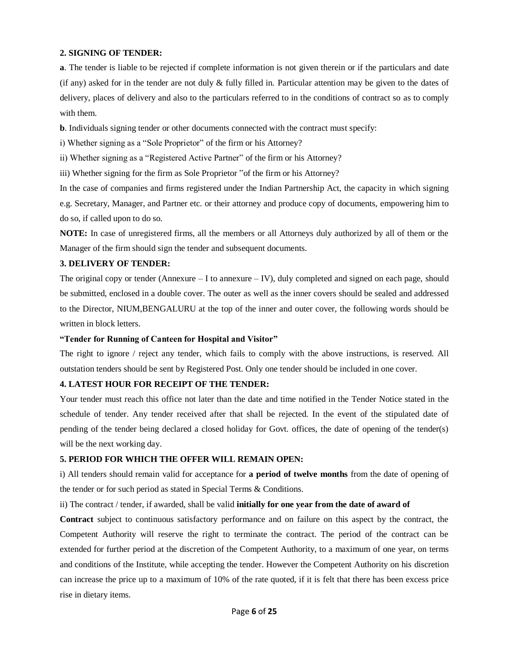#### **2. SIGNING OF TENDER:**

**a**. The tender is liable to be rejected if complete information is not given therein or if the particulars and date (if any) asked for in the tender are not duly  $\&$  fully filled in. Particular attention may be given to the dates of delivery, places of delivery and also to the particulars referred to in the conditions of contract so as to comply with them.

**b**. Individuals signing tender or other documents connected with the contract must specify:

i) Whether signing as a "Sole Proprietor" of the firm or his Attorney?

ii) Whether signing as a "Registered Active Partner" of the firm or his Attorney?

iii) Whether signing for the firm as Sole Proprietor "of the firm or his Attorney?

In the case of companies and firms registered under the Indian Partnership Act, the capacity in which signing e.g. Secretary, Manager, and Partner etc. or their attorney and produce copy of documents, empowering him to do so, if called upon to do so.

**NOTE:** In case of unregistered firms, all the members or all Attorneys duly authorized by all of them or the Manager of the firm should sign the tender and subsequent documents.

#### **3. DELIVERY OF TENDER:**

The original copy or tender (Annexure – I to annexure – IV), duly completed and signed on each page, should be submitted, enclosed in a double cover. The outer as well as the inner covers should be sealed and addressed to the Director, NIUM,BENGALURU at the top of the inner and outer cover, the following words should be written in block letters.

#### **"Tender for Running of Canteen for Hospital and Visitor"**

The right to ignore / reject any tender, which fails to comply with the above instructions, is reserved. All outstation tenders should be sent by Registered Post. Only one tender should be included in one cover.

## **4. LATEST HOUR FOR RECEIPT OF THE TENDER:**

Your tender must reach this office not later than the date and time notified in the Tender Notice stated in the schedule of tender. Any tender received after that shall be rejected. In the event of the stipulated date of pending of the tender being declared a closed holiday for Govt. offices, the date of opening of the tender(s) will be the next working day.

### **5. PERIOD FOR WHICH THE OFFER WILL REMAIN OPEN:**

i) All tenders should remain valid for acceptance for **a period of twelve months** from the date of opening of the tender or for such period as stated in Special Terms & Conditions.

ii) The contract / tender, if awarded, shall be valid **initially for one year from the date of award of**

**Contract** subject to continuous satisfactory performance and on failure on this aspect by the contract, the Competent Authority will reserve the right to terminate the contract. The period of the contract can be extended for further period at the discretion of the Competent Authority, to a maximum of one year, on terms and conditions of the Institute, while accepting the tender. However the Competent Authority on his discretion can increase the price up to a maximum of 10% of the rate quoted, if it is felt that there has been excess price rise in dietary items.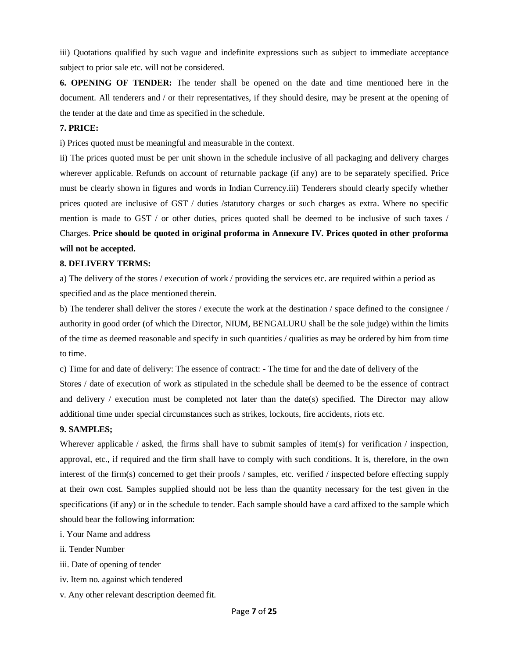iii) Quotations qualified by such vague and indefinite expressions such as subject to immediate acceptance subject to prior sale etc. will not be considered.

**6. OPENING OF TENDER:** The tender shall be opened on the date and time mentioned here in the document. All tenderers and / or their representatives, if they should desire, may be present at the opening of the tender at the date and time as specified in the schedule.

## **7. PRICE:**

i) Prices quoted must be meaningful and measurable in the context.

ii) The prices quoted must be per unit shown in the schedule inclusive of all packaging and delivery charges wherever applicable. Refunds on account of returnable package (if any) are to be separately specified. Price must be clearly shown in figures and words in Indian Currency.iii) Tenderers should clearly specify whether prices quoted are inclusive of GST / duties /statutory charges or such charges as extra. Where no specific mention is made to GST / or other duties, prices quoted shall be deemed to be inclusive of such taxes / Charges. **Price should be quoted in original proforma in Annexure IV. Prices quoted in other proforma will not be accepted.**

#### **8. DELIVERY TERMS:**

a) The delivery of the stores / execution of work / providing the services etc. are required within a period as specified and as the place mentioned therein.

b) The tenderer shall deliver the stores / execute the work at the destination / space defined to the consignee / authority in good order (of which the Director, NIUM, BENGALURU shall be the sole judge) within the limits of the time as deemed reasonable and specify in such quantities / qualities as may be ordered by him from time to time.

c) Time for and date of delivery: The essence of contract: - The time for and the date of delivery of the Stores / date of execution of work as stipulated in the schedule shall be deemed to be the essence of contract and delivery / execution must be completed not later than the date(s) specified. The Director may allow additional time under special circumstances such as strikes, lockouts, fire accidents, riots etc.

## **9. SAMPLES;**

Wherever applicable / asked, the firms shall have to submit samples of item(s) for verification / inspection, approval, etc., if required and the firm shall have to comply with such conditions. It is, therefore, in the own interest of the firm(s) concerned to get their proofs / samples, etc. verified / inspected before effecting supply at their own cost. Samples supplied should not be less than the quantity necessary for the test given in the specifications (if any) or in the schedule to tender. Each sample should have a card affixed to the sample which should bear the following information:

- i. Your Name and address
- ii. Tender Number
- iii. Date of opening of tender
- iv. Item no. against which tendered
- v. Any other relevant description deemed fit.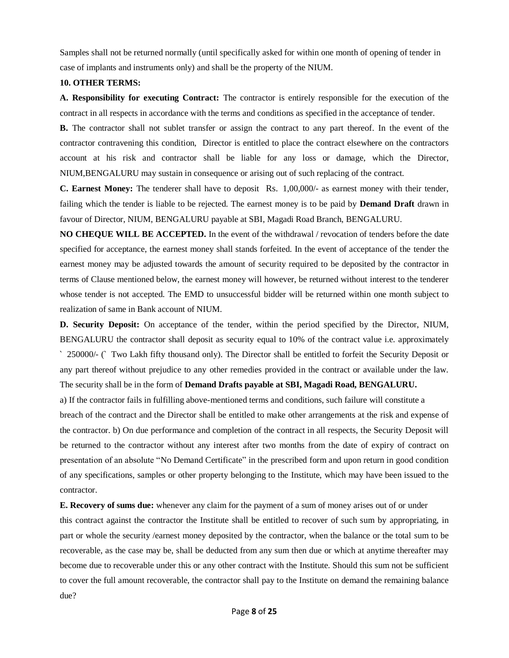Samples shall not be returned normally (until specifically asked for within one month of opening of tender in case of implants and instruments only) and shall be the property of the NIUM.

#### **10. OTHER TERMS:**

**A. Responsibility for executing Contract:** The contractor is entirely responsible for the execution of the contract in all respects in accordance with the terms and conditions as specified in the acceptance of tender.

**B.** The contractor shall not sublet transfer or assign the contract to any part thereof. In the event of the contractor contravening this condition, Director is entitled to place the contract elsewhere on the contractors account at his risk and contractor shall be liable for any loss or damage, which the Director, NIUM,BENGALURU may sustain in consequence or arising out of such replacing of the contract.

**C. Earnest Money:** The tenderer shall have to deposit Rs. 1,00,000/- as earnest money with their tender, failing which the tender is liable to be rejected. The earnest money is to be paid by **Demand Draft** drawn in favour of Director, NIUM, BENGALURU payable at SBI, Magadi Road Branch, BENGALURU.

**NO CHEQUE WILL BE ACCEPTED.** In the event of the withdrawal / revocation of tenders before the date specified for acceptance, the earnest money shall stands forfeited. In the event of acceptance of the tender the earnest money may be adjusted towards the amount of security required to be deposited by the contractor in terms of Clause mentioned below, the earnest money will however, be returned without interest to the tenderer whose tender is not accepted. The EMD to unsuccessful bidder will be returned within one month subject to realization of same in Bank account of NIUM.

**D. Security Deposit:** On acceptance of the tender, within the period specified by the Director, NIUM, BENGALURU the contractor shall deposit as security equal to 10% of the contract value i.e. approximately ` 250000/- (` Two Lakh fifty thousand only). The Director shall be entitled to forfeit the Security Deposit or any part thereof without prejudice to any other remedies provided in the contract or available under the law. The security shall be in the form of **Demand Drafts payable at SBI, Magadi Road, BENGALURU.**

a) If the contractor fails in fulfilling above-mentioned terms and conditions, such failure will constitute a

breach of the contract and the Director shall be entitled to make other arrangements at the risk and expense of the contractor. b) On due performance and completion of the contract in all respects, the Security Deposit will be returned to the contractor without any interest after two months from the date of expiry of contract on presentation of an absolute "No Demand Certificate" in the prescribed form and upon return in good condition of any specifications, samples or other property belonging to the Institute, which may have been issued to the contractor.

**E. Recovery of sums due:** whenever any claim for the payment of a sum of money arises out of or under

this contract against the contractor the Institute shall be entitled to recover of such sum by appropriating, in part or whole the security /earnest money deposited by the contractor, when the balance or the total sum to be recoverable, as the case may be, shall be deducted from any sum then due or which at anytime thereafter may become due to recoverable under this or any other contract with the Institute. Should this sum not be sufficient to cover the full amount recoverable, the contractor shall pay to the Institute on demand the remaining balance due?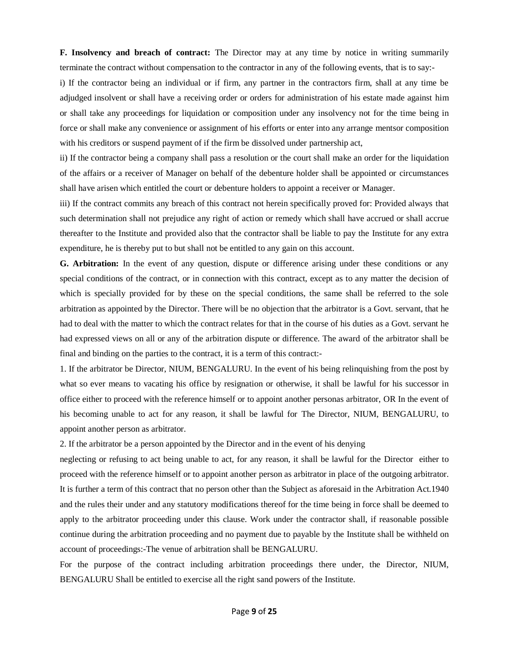**F. Insolvency and breach of contract:** The Director may at any time by notice in writing summarily terminate the contract without compensation to the contractor in any of the following events, that is to say:-

i) If the contractor being an individual or if firm, any partner in the contractors firm, shall at any time be adjudged insolvent or shall have a receiving order or orders for administration of his estate made against him or shall take any proceedings for liquidation or composition under any insolvency not for the time being in force or shall make any convenience or assignment of his efforts or enter into any arrange mentsor composition with his creditors or suspend payment of if the firm be dissolved under partnership act,

ii) If the contractor being a company shall pass a resolution or the court shall make an order for the liquidation of the affairs or a receiver of Manager on behalf of the debenture holder shall be appointed or circumstances shall have arisen which entitled the court or debenture holders to appoint a receiver or Manager.

iii) If the contract commits any breach of this contract not herein specifically proved for: Provided always that such determination shall not prejudice any right of action or remedy which shall have accrued or shall accrue thereafter to the Institute and provided also that the contractor shall be liable to pay the Institute for any extra expenditure, he is thereby put to but shall not be entitled to any gain on this account.

**G. Arbitration:** In the event of any question, dispute or difference arising under these conditions or any special conditions of the contract, or in connection with this contract, except as to any matter the decision of which is specially provided for by these on the special conditions, the same shall be referred to the sole arbitration as appointed by the Director. There will be no objection that the arbitrator is a Govt. servant, that he had to deal with the matter to which the contract relates for that in the course of his duties as a Govt. servant he had expressed views on all or any of the arbitration dispute or difference. The award of the arbitrator shall be final and binding on the parties to the contract, it is a term of this contract:-

1. If the arbitrator be Director, NIUM, BENGALURU. In the event of his being relinquishing from the post by what so ever means to vacating his office by resignation or otherwise, it shall be lawful for his successor in office either to proceed with the reference himself or to appoint another personas arbitrator, OR In the event of his becoming unable to act for any reason, it shall be lawful for The Director, NIUM, BENGALURU, to appoint another person as arbitrator.

2. If the arbitrator be a person appointed by the Director and in the event of his denying

neglecting or refusing to act being unable to act, for any reason, it shall be lawful for the Director either to proceed with the reference himself or to appoint another person as arbitrator in place of the outgoing arbitrator. It is further a term of this contract that no person other than the Subject as aforesaid in the Arbitration Act.1940 and the rules their under and any statutory modifications thereof for the time being in force shall be deemed to apply to the arbitrator proceeding under this clause. Work under the contractor shall, if reasonable possible continue during the arbitration proceeding and no payment due to payable by the Institute shall be withheld on account of proceedings:-The venue of arbitration shall be BENGALURU.

For the purpose of the contract including arbitration proceedings there under, the Director, NIUM, BENGALURU Shall be entitled to exercise all the right sand powers of the Institute.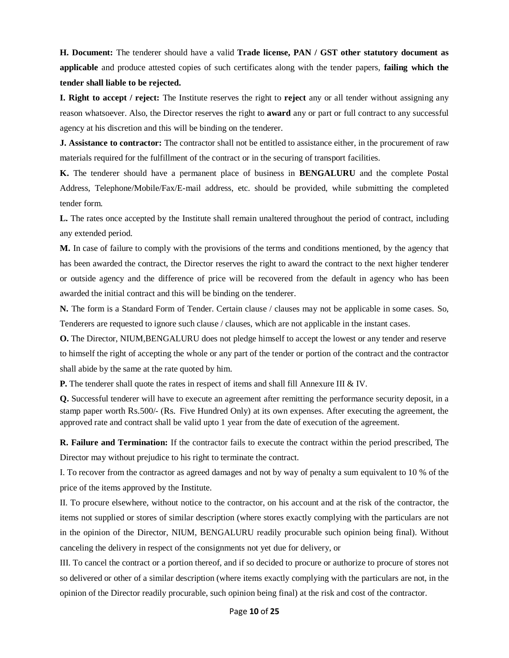**H. Document:** The tenderer should have a valid **Trade license, PAN / GST other statutory document as applicable** and produce attested copies of such certificates along with the tender papers, **failing which the tender shall liable to be rejected.**

**I. Right to accept / reject:** The Institute reserves the right to **reject** any or all tender without assigning any reason whatsoever. Also, the Director reserves the right to **award** any or part or full contract to any successful agency at his discretion and this will be binding on the tenderer.

**J. Assistance to contractor:** The contractor shall not be entitled to assistance either, in the procurement of raw materials required for the fulfillment of the contract or in the securing of transport facilities.

**K.** The tenderer should have a permanent place of business in **BENGALURU** and the complete Postal Address, Telephone/Mobile/Fax/E-mail address, etc. should be provided, while submitting the completed tender form.

**L.** The rates once accepted by the Institute shall remain unaltered throughout the period of contract, including any extended period.

**M.** In case of failure to comply with the provisions of the terms and conditions mentioned, by the agency that has been awarded the contract, the Director reserves the right to award the contract to the next higher tenderer or outside agency and the difference of price will be recovered from the default in agency who has been awarded the initial contract and this will be binding on the tenderer.

**N.** The form is a Standard Form of Tender. Certain clause / clauses may not be applicable in some cases. So, Tenderers are requested to ignore such clause / clauses, which are not applicable in the instant cases.

**O.** The Director, NIUM,BENGALURU does not pledge himself to accept the lowest or any tender and reserve to himself the right of accepting the whole or any part of the tender or portion of the contract and the contractor shall abide by the same at the rate quoted by him.

**P.** The tenderer shall quote the rates in respect of items and shall fill Annexure III & IV.

**Q.** Successful tenderer will have to execute an agreement after remitting the performance security deposit, in a stamp paper worth Rs.500/- (Rs. Five Hundred Only) at its own expenses. After executing the agreement, the approved rate and contract shall be valid upto 1 year from the date of execution of the agreement.

**R. Failure and Termination:** If the contractor fails to execute the contract within the period prescribed, The Director may without prejudice to his right to terminate the contract.

I. To recover from the contractor as agreed damages and not by way of penalty a sum equivalent to 10 % of the price of the items approved by the Institute.

II. To procure elsewhere, without notice to the contractor, on his account and at the risk of the contractor, the items not supplied or stores of similar description (where stores exactly complying with the particulars are not in the opinion of the Director, NIUM, BENGALURU readily procurable such opinion being final). Without canceling the delivery in respect of the consignments not yet due for delivery, or

III. To cancel the contract or a portion thereof, and if so decided to procure or authorize to procure of stores not so delivered or other of a similar description (where items exactly complying with the particulars are not, in the opinion of the Director readily procurable, such opinion being final) at the risk and cost of the contractor.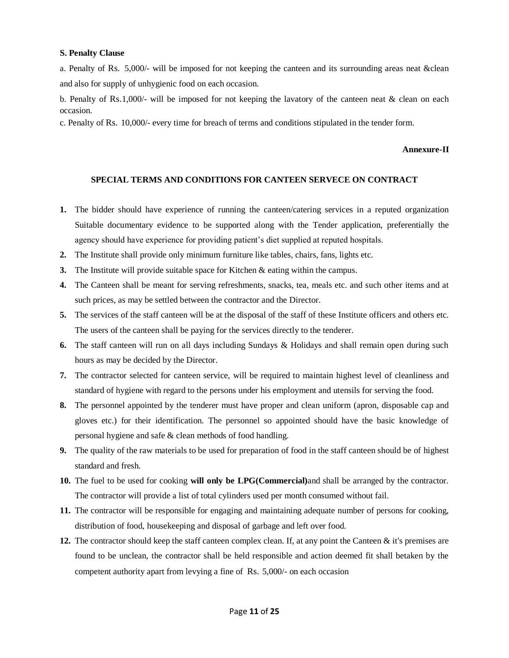#### **S. Penalty Clause**

a. Penalty of Rs. 5,000/- will be imposed for not keeping the canteen and its surrounding areas neat &clean and also for supply of unhygienic food on each occasion.

b. Penalty of Rs.1,000/- will be imposed for not keeping the lavatory of the canteen neat & clean on each occasion.

c. Penalty of Rs. 10,000/- every time for breach of terms and conditions stipulated in the tender form.

#### **Annexure-II**

#### **SPECIAL TERMS AND CONDITIONS FOR CANTEEN SERVECE ON CONTRACT**

- **1.** The bidder should have experience of running the canteen/catering services in a reputed organization Suitable documentary evidence to be supported along with the Tender application, preferentially the agency should have experience for providing patient's diet supplied at reputed hospitals.
- **2.** The Institute shall provide only minimum furniture like tables, chairs, fans, lights etc.
- **3.** The Institute will provide suitable space for Kitchen & eating within the campus.
- **4.** The Canteen shall be meant for serving refreshments, snacks, tea, meals etc. and such other items and at such prices, as may be settled between the contractor and the Director.
- **5.** The services of the staff canteen will be at the disposal of the staff of these Institute officers and others etc. The users of the canteen shall be paying for the services directly to the tenderer.
- **6.** The staff canteen will run on all days including Sundays & Holidays and shall remain open during such hours as may be decided by the Director.
- **7.** The contractor selected for canteen service, will be required to maintain highest level of cleanliness and standard of hygiene with regard to the persons under his employment and utensils for serving the food.
- **8.** The personnel appointed by the tenderer must have proper and clean uniform (apron, disposable cap and gloves etc.) for their identification. The personnel so appointed should have the basic knowledge of personal hygiene and safe & clean methods of food handling.
- **9.** The quality of the raw materials to be used for preparation of food in the staff canteen should be of highest standard and fresh.
- **10.** The fuel to be used for cooking **will only be LPG(Commercial)**and shall be arranged by the contractor. The contractor will provide a list of total cylinders used per month consumed without fail.
- **11.** The contractor will be responsible for engaging and maintaining adequate number of persons for cooking, distribution of food, housekeeping and disposal of garbage and left over food.
- **12.** The contractor should keep the staff canteen complex clean. If, at any point the Canteen & it's premises are found to be unclean, the contractor shall be held responsible and action deemed fit shall betaken by the competent authority apart from levying a fine of Rs. 5,000/- on each occasion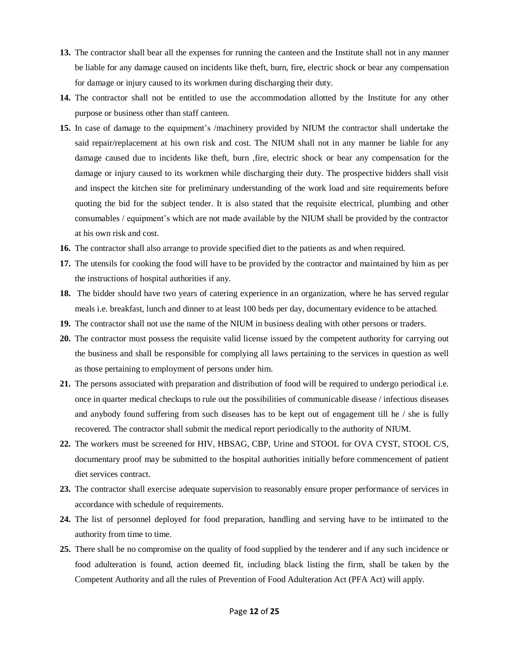- **13.** The contractor shall bear all the expenses for running the canteen and the Institute shall not in any manner be liable for any damage caused on incidents like theft, burn, fire, electric shock or bear any compensation for damage or injury caused to its workmen during discharging their duty.
- **14.** The contractor shall not be entitled to use the accommodation allotted by the Institute for any other purpose or business other than staff canteen.
- **15.** In case of damage to the equipment's /machinery provided by NIUM the contractor shall undertake the said repair/replacement at his own risk and cost. The NIUM shall not in any manner be liable for any damage caused due to incidents like theft, burn ,fire, electric shock or bear any compensation for the damage or injury caused to its workmen while discharging their duty. The prospective bidders shall visit and inspect the kitchen site for preliminary understanding of the work load and site requirements before quoting the bid for the subject tender. It is also stated that the requisite electrical, plumbing and other consumables / equipment's which are not made available by the NIUM shall be provided by the contractor at his own risk and cost.
- **16.** The contractor shall also arrange to provide specified diet to the patients as and when required.
- **17.** The utensils for cooking the food will have to be provided by the contractor and maintained by him as per the instructions of hospital authorities if any.
- **18.** The bidder should have two years of catering experience in an organization, where he has served regular meals i.e. breakfast, lunch and dinner to at least 100 beds per day, documentary evidence to be attached*.*
- **19.** The contractor shall not use the name of the NIUM in business dealing with other persons or traders.
- **20.** The contractor must possess the requisite valid license issued by the competent authority for carrying out the business and shall be responsible for complying all laws pertaining to the services in question as well as those pertaining to employment of persons under him.
- **21.** The persons associated with preparation and distribution of food will be required to undergo periodical i.e. once in quarter medical checkups to rule out the possibilities of communicable disease / infectious diseases and anybody found suffering from such diseases has to be kept out of engagement till he / she is fully recovered*.* The contractor shall submit the medical report periodically to the authority of NIUM.
- **22.** The workers must be screened for HIV, HBSAG, CBP, Urine and STOOL for OVA CYST, STOOL C/S, documentary proof may be submitted to the hospital authorities initially before commencement of patient diet services contract.
- **23.** The contractor shall exercise adequate supervision to reasonably ensure proper performance of services in accordance with schedule of requirements.
- **24.** The list of personnel deployed for food preparation, handling and serving have to be intimated to the authority from time to time.
- **25.** There shall be no compromise on the quality of food supplied by the tenderer and if any such incidence or food adulteration is found, action deemed fit, including black listing the firm, shall be taken by the Competent Authority and all the rules of Prevention of Food Adulteration Act (PFA Act) will apply.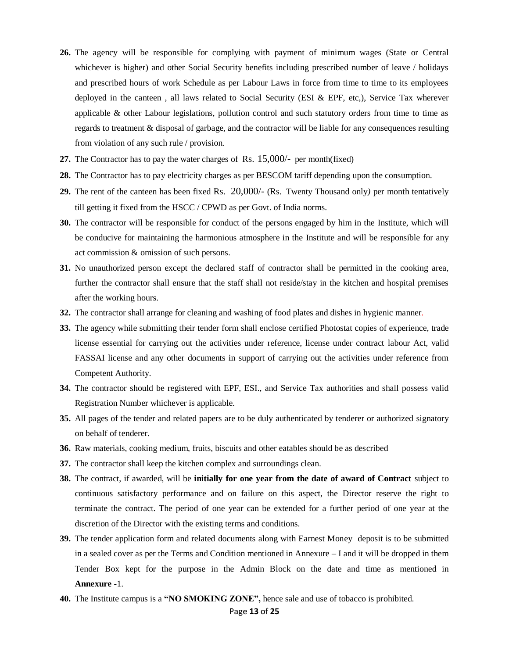- **26.** The agency will be responsible for complying with payment of minimum wages (State or Central whichever is higher) and other Social Security benefits including prescribed number of leave / holidays and prescribed hours of work Schedule as per Labour Laws in force from time to time to its employees deployed in the canteen , all laws related to Social Security (ESI & EPF, etc,), Service Tax wherever applicable & other Labour legislations, pollution control and such statutory orders from time to time as regards to treatment & disposal of garbage, and the contractor will be liable for any consequences resulting from violation of any such rule / provision.
- **27.** The Contractor has to pay the water charges of Rs. 15,000/- per month(fixed)
- **28.** The Contractor has to pay electricity charges as per BESCOM tariff depending upon the consumption.
- **29.** The rent of the canteen has been fixed Rs. 20,000/- (Rs. Twenty Thousand only*)* per month tentatively till getting it fixed from the HSCC / CPWD as per Govt. of India norms.
- **30.** The contractor will be responsible for conduct of the persons engaged by him in the Institute, which will be conducive for maintaining the harmonious atmosphere in the Institute and will be responsible for any act commission & omission of such persons.
- **31.** No unauthorized person except the declared staff of contractor shall be permitted in the cooking area, further the contractor shall ensure that the staff shall not reside/stay in the kitchen and hospital premises after the working hours.
- **32.** The contractor shall arrange for cleaning and washing of food plates and dishes in hygienic manner*.*
- **33.** The agency while submitting their tender form shall enclose certified Photostat copies of experience, trade license essential for carrying out the activities under reference, license under contract labour Act*,* valid FASSAI license and any other documents in support of carrying out the activities under reference from Competent Authority.
- **34.** The contractor should be registered with EPF, ESI., and Service Tax authorities and shall possess valid Registration Number whichever is applicable.
- **35.** All pages of the tender and related papers are to be duly authenticated by tenderer or authorized signatory on behalf of tenderer.
- **36.** Raw materials, cooking medium, fruits, biscuits and other eatables should be as described
- **37.** The contractor shall keep the kitchen complex and surroundings clean.
- **38.** The contract, if awarded, will be **initially for one year from the date of award of Contract** subject to continuous satisfactory performance and on failure on this aspect, the Director reserve the right to terminate the contract. The period of one year can be extended for a further period of one year at the discretion of the Director with the existing terms and conditions.
- **39.** The tender application form and related documents along with Earnest Money deposit is to be submitted in a sealed cover as per the Terms and Condition mentioned in Annexure – I and it will be dropped in them Tender Box kept for the purpose in the Admin Block on the date and time as mentioned in **Annexure -**1.
- **40.** The Institute campus is a **"NO SMOKING ZONE",** hence sale and use of tobacco is prohibited.

#### Page **13** of **25**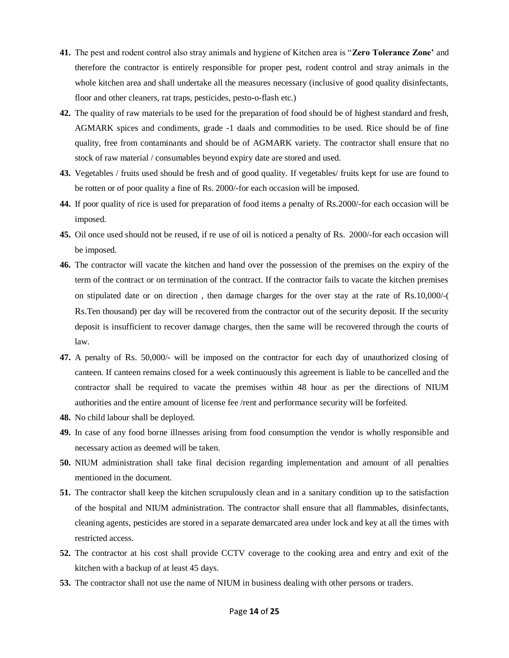- **41.** The pest and rodent control also stray animals and hygiene of Kitchen area is "**Zero Tolerance Zone'** and therefore the contractor is entirely responsible for proper pest, rodent control and stray animals in the whole kitchen area and shall undertake all the measures necessary (inclusive of good quality disinfectants, floor and other cleaners, rat traps, pesticides, pesto-o-flash etc.)
- **42.** The quality of raw materials to be used for the preparation of food should be of highest standard and fresh, AGMARK spices and condiments, grade -1 daals and commodities to be used. Rice should be of fine quality, free from contaminants and should be of AGMARK variety. The contractor shall ensure that no stock of raw material / consumables beyond expiry date are stored and used.
- **43.** Vegetables / fruits used should be fresh and of good quality. If vegetables/ fruits kept for use are found to be rotten or of poor quality a fine of Rs. 2000/-for each occasion will be imposed.
- **44.** If poor quality of rice is used for preparation of food items a penalty of Rs.2000/-for each occasion will be imposed.
- **45.** Oil once used should not be reused, if re use of oil is noticed a penalty of Rs. 2000/-for each occasion will be imposed.
- **46.** The contractor will vacate the kitchen and hand over the possession of the premises on the expiry of the term of the contract or on termination of the contract. If the contractor fails to vacate the kitchen premises on stipulated date or on direction , then damage charges for the over stay at the rate of Rs.10,000/-( Rs.Ten thousand) per day will be recovered from the contractor out of the security deposit. If the security deposit is insufficient to recover damage charges, then the same will be recovered through the courts of law.
- **47.** A penalty of Rs. 50,000/- will be imposed on the contractor for each day of unauthorized closing of canteen. If canteen remains closed for a week continuously this agreement is liable to be cancelled and the contractor shall be required to vacate the premises within 48 hour as per the directions of NIUM authorities and the entire amount of license fee /rent and performance security will be forfeited.
- **48.** No child labour shall be deployed.
- **49.** In case of any food borne illnesses arising from food consumption the vendor is wholly responsible and necessary action as deemed will be taken.
- **50.** NIUM administration shall take final decision regarding implementation and amount of all penalties mentioned in the document.
- **51.** The contractor shall keep the kitchen scrupulously clean and in a sanitary condition up to the satisfaction of the hospital and NIUM administration. The contractor shall ensure that all flammables, disinfectants, cleaning agents, pesticides are stored in a separate demarcated area under lock and key at all the times with restricted access.
- **52.** The contractor at his cost shall provide CCTV coverage to the cooking area and entry and exit of the kitchen with a backup of at least 45 days.
- **53.** The contractor shall not use the name of NIUM in business dealing with other persons or traders.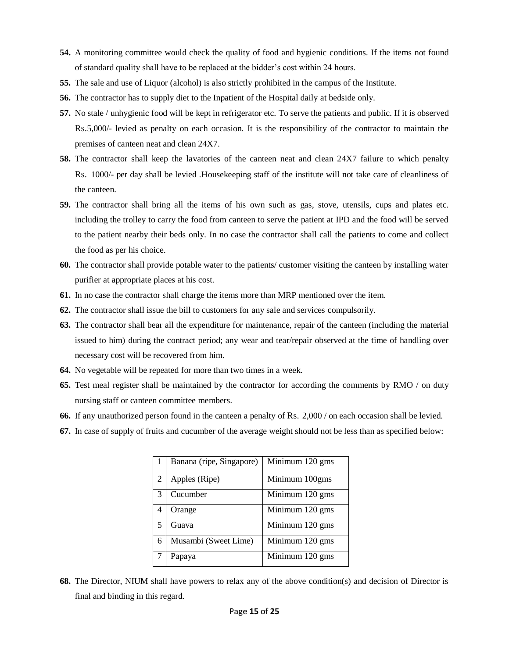- **54.** A monitoring committee would check the quality of food and hygienic conditions. If the items not found of standard quality shall have to be replaced at the bidder's cost within 24 hours.
- **55.** The sale and use of Liquor (alcohol) is also strictly prohibited in the campus of the Institute.
- **56.** The contractor has to supply diet to the Inpatient of the Hospital daily at bedside only.
- **57.** No stale / unhygienic food will be kept in refrigerator etc. To serve the patients and public. If it is observed Rs.5,000/- levied as penalty on each occasion. It is the responsibility of the contractor to maintain the premises of canteen neat and clean 24X7.
- **58.** The contractor shall keep the lavatories of the canteen neat and clean 24X7 failure to which penalty Rs. 1000/- per day shall be levied .Housekeeping staff of the institute will not take care of cleanliness of the canteen.
- **59.** The contractor shall bring all the items of his own such as gas, stove, utensils, cups and plates etc. including the trolley to carry the food from canteen to serve the patient at IPD and the food will be served to the patient nearby their beds only. In no case the contractor shall call the patients to come and collect the food as per his choice.
- **60.** The contractor shall provide potable water to the patients/ customer visiting the canteen by installing water purifier at appropriate places at his cost.
- **61.** In no case the contractor shall charge the items more than MRP mentioned over the item.
- **62.** The contractor shall issue the bill to customers for any sale and services compulsorily.
- **63.** The contractor shall bear all the expenditure for maintenance, repair of the canteen (including the material issued to him) during the contract period; any wear and tear/repair observed at the time of handling over necessary cost will be recovered from him.
- **64.** No vegetable will be repeated for more than two times in a week.
- **65.** Test meal register shall be maintained by the contractor for according the comments by RMO / on duty nursing staff or canteen committee members.
- **66.** If any unauthorized person found in the canteen a penalty of Rs. 2,000 / on each occasion shall be levied.
- **67.** In case of supply of fruits and cucumber of the average weight should not be less than as specified below:

|   | Banana (ripe, Singapore) | Minimum 120 gms |
|---|--------------------------|-----------------|
| 2 | Apples (Ripe)            | Minimum 100gms  |
| 3 | Cucumber                 | Minimum 120 gms |
| 4 | Orange                   | Minimum 120 gms |
| 5 | Guava                    | Minimum 120 gms |
| 6 | Musambi (Sweet Lime)     | Minimum 120 gms |
|   | Papaya                   | Minimum 120 gms |

**68.** The Director, NIUM shall have powers to relax any of the above condition(s) and decision of Director is final and binding in this regard.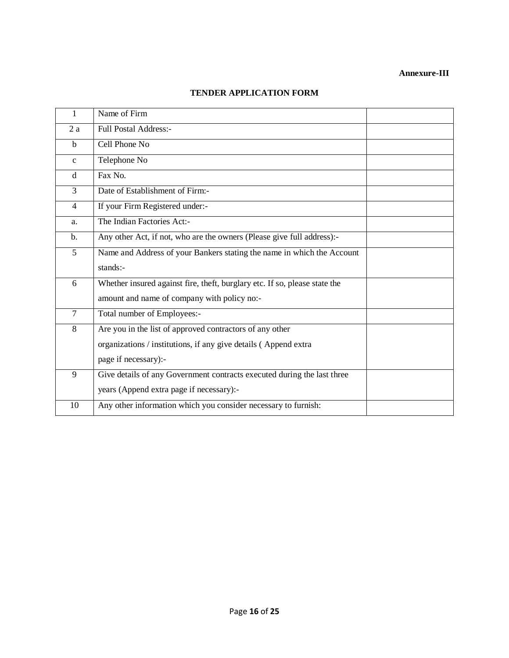### **Annexure-III**

| 1              | Name of Firm                                                               |  |
|----------------|----------------------------------------------------------------------------|--|
| 2a             | <b>Full Postal Address:-</b>                                               |  |
| $\mathbf b$    | Cell Phone No                                                              |  |
| $\mathbf{c}$   | Telephone No                                                               |  |
| d              | Fax No.                                                                    |  |
| 3              | Date of Establishment of Firm:-                                            |  |
| $\overline{4}$ | If your Firm Registered under:-                                            |  |
| a.             | The Indian Factories Act:-                                                 |  |
| $\mathbf{b}$ . | Any other Act, if not, who are the owners (Please give full address):-     |  |
| $\mathfrak{S}$ | Name and Address of your Bankers stating the name in which the Account     |  |
|                | stands:-                                                                   |  |
| 6              | Whether insured against fire, theft, burglary etc. If so, please state the |  |
|                | amount and name of company with policy no:-                                |  |
| $\tau$         | Total number of Employees:-                                                |  |
| 8              | Are you in the list of approved contractors of any other                   |  |
|                | organizations / institutions, if any give details (Append extra            |  |
|                | page if necessary):-                                                       |  |
| 9              | Give details of any Government contracts executed during the last three    |  |
|                | years (Append extra page if necessary):-                                   |  |
| 10             | Any other information which you consider necessary to furnish:             |  |

# **TENDER APPLICATION FORM**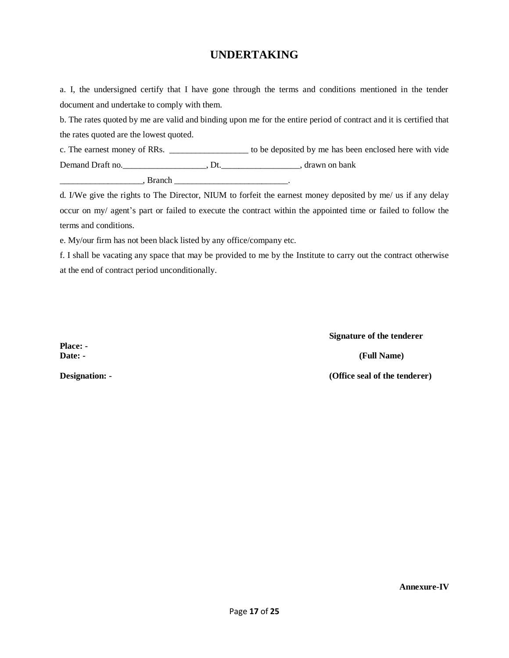# **UNDERTAKING**

a. I, the undersigned certify that I have gone through the terms and conditions mentioned in the tender document and undertake to comply with them.

b. The rates quoted by me are valid and binding upon me for the entire period of contract and it is certified that the rates quoted are the lowest quoted.

c. The earnest money of RRs. \_\_\_\_\_\_\_\_\_\_\_\_\_\_\_\_\_\_ to be deposited by me has been enclosed here with vide Demand Draft no.\_\_\_\_\_\_\_\_\_\_\_\_\_\_\_\_\_\_\_, Dt.\_\_\_\_\_\_\_\_\_\_\_\_\_\_\_\_\_\_, drawn on bank

\_\_\_\_\_\_\_\_\_\_\_\_\_\_\_\_\_\_\_, Branch \_\_\_\_\_\_\_\_\_\_\_\_\_\_\_\_\_\_\_\_\_\_\_\_\_\_.

d. I/We give the rights to The Director, NIUM to forfeit the earnest money deposited by me/ us if any delay occur on my/ agent's part or failed to execute the contract within the appointed time or failed to follow the terms and conditions.

e. My/our firm has not been black listed by any office/company etc.

f. I shall be vacating any space that may be provided to me by the Institute to carry out the contract otherwise at the end of contract period unconditionally.

**Place: -**

**Signature of the tenderer Date: - (Full Name) Designation: - (Office seal of the tenderer)**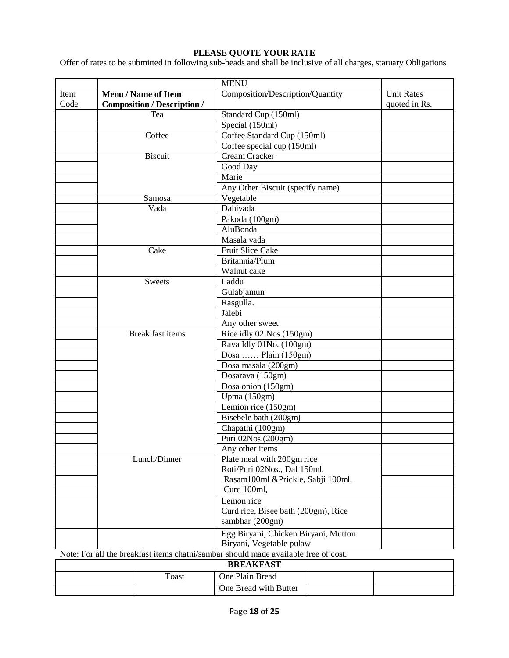## **PLEASE QUOTE YOUR RATE**

Offer of rates to be submitted in following sub-heads and shall be inclusive of all charges, statuary Obligations

|                                                                                     |  |                                    | <b>MENU</b>                                                      |  |                   |
|-------------------------------------------------------------------------------------|--|------------------------------------|------------------------------------------------------------------|--|-------------------|
| Item                                                                                |  | <b>Menu / Name of Item</b>         | Composition/Description/Quantity                                 |  | <b>Unit Rates</b> |
| Code                                                                                |  | <b>Composition / Description /</b> |                                                                  |  | quoted in Rs.     |
|                                                                                     |  | Tea                                | Standard Cup (150ml)                                             |  |                   |
|                                                                                     |  |                                    | Special (150ml)                                                  |  |                   |
|                                                                                     |  | Coffee                             | Coffee Standard Cup (150ml)                                      |  |                   |
|                                                                                     |  |                                    | Coffee special cup (150ml)                                       |  |                   |
|                                                                                     |  | <b>Biscuit</b>                     | Cream Cracker                                                    |  |                   |
|                                                                                     |  |                                    | Good Day                                                         |  |                   |
|                                                                                     |  |                                    | Marie                                                            |  |                   |
|                                                                                     |  |                                    | Any Other Biscuit (specify name)                                 |  |                   |
|                                                                                     |  | Samosa                             | Vegetable                                                        |  |                   |
|                                                                                     |  | Vada                               | Dahivada                                                         |  |                   |
|                                                                                     |  |                                    | Pakoda (100gm)                                                   |  |                   |
|                                                                                     |  |                                    | AluBonda                                                         |  |                   |
|                                                                                     |  |                                    | Masala vada                                                      |  |                   |
|                                                                                     |  | Cake                               | <b>Fruit Slice Cake</b>                                          |  |                   |
|                                                                                     |  |                                    | Britannia/Plum                                                   |  |                   |
|                                                                                     |  |                                    | Walnut cake                                                      |  |                   |
|                                                                                     |  | <b>Sweets</b>                      | Laddu                                                            |  |                   |
|                                                                                     |  |                                    | Gulabjamun<br>Rasgulla.<br>Jalebi                                |  |                   |
|                                                                                     |  |                                    |                                                                  |  |                   |
|                                                                                     |  |                                    |                                                                  |  |                   |
|                                                                                     |  |                                    | Any other sweet                                                  |  |                   |
|                                                                                     |  | <b>Break fast items</b>            | Rice idly 02 Nos.(150gm)<br>Rava Idly 01No. (100gm)              |  |                   |
|                                                                                     |  |                                    |                                                                  |  |                   |
|                                                                                     |  |                                    | Dosa  Plain (150gm)                                              |  |                   |
|                                                                                     |  |                                    | Dosa masala (200gm)                                              |  |                   |
|                                                                                     |  |                                    | Dosarava (150gm)                                                 |  |                   |
|                                                                                     |  |                                    | Dosa onion (150gm)                                               |  |                   |
|                                                                                     |  |                                    | Upma (150gm)                                                     |  |                   |
|                                                                                     |  |                                    | Lemion rice (150gm)                                              |  |                   |
|                                                                                     |  |                                    | Bisebele bath (200gm)                                            |  |                   |
|                                                                                     |  |                                    | Chapathi (100gm)                                                 |  |                   |
|                                                                                     |  |                                    | Puri 02Nos.(200gm)                                               |  |                   |
|                                                                                     |  |                                    | Any other items                                                  |  |                   |
|                                                                                     |  | Lunch/Dinner                       | Plate meal with 200gm rice                                       |  |                   |
|                                                                                     |  |                                    | Roti/Puri 02Nos., Dal 150ml,                                     |  |                   |
|                                                                                     |  |                                    | Rasam100ml &Prickle, Sabji 100ml,<br>Curd 100ml,                 |  |                   |
|                                                                                     |  |                                    |                                                                  |  |                   |
|                                                                                     |  |                                    | Lemon rice                                                       |  |                   |
|                                                                                     |  |                                    | Curd rice, Bisee bath (200gm), Rice<br>sambhar (200gm)           |  |                   |
|                                                                                     |  |                                    | Egg Biryani, Chicken Biryani, Mutton<br>Biryani, Vegetable pulaw |  |                   |
| Note: For all the breakfast items chatni/sambar should made available free of cost. |  |                                    |                                                                  |  |                   |
|                                                                                     |  |                                    | <b>BREAKFAST</b>                                                 |  |                   |
| One Plain Bread<br><b>Toast</b>                                                     |  |                                    |                                                                  |  |                   |
|                                                                                     |  |                                    | One Bread with Butter                                            |  |                   |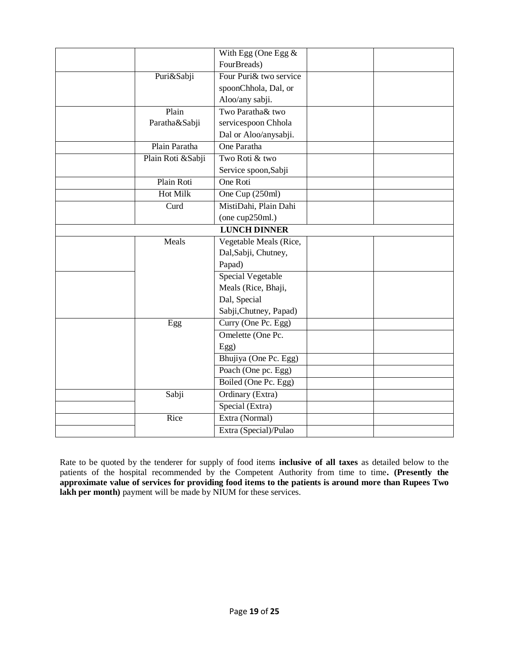|                   | With Egg (One Egg $\&$  |  |
|-------------------|-------------------------|--|
|                   | FourBreads)             |  |
| Puri&Sabji        | Four Puri & two service |  |
|                   | spoonChhola, Dal, or    |  |
|                   | Aloo/any sabji.         |  |
| Plain             | Two Paratha& two        |  |
| Paratha&Sabji     | servicespoon Chhola     |  |
|                   | Dal or Aloo/anysabji.   |  |
| Plain Paratha     | One Paratha             |  |
| Plain Roti &Sabji | Two Roti & two          |  |
|                   | Service spoon, Sabji    |  |
| Plain Roti        | One Roti                |  |
| Hot Milk          | One Cup (250ml)         |  |
| Curd              | MistiDahi, Plain Dahi   |  |
|                   | (one cup250ml.)         |  |
|                   | <b>LUNCH DINNER</b>     |  |
| Meals             | Vegetable Meals (Rice,  |  |
|                   | Dal, Sabji, Chutney,    |  |
|                   | Papad)                  |  |
|                   | Special Vegetable       |  |
|                   | Meals (Rice, Bhaji,     |  |
|                   | Dal, Special            |  |
|                   | Sabji, Chutney, Papad)  |  |
| Egg               | Curry (One Pc. Egg)     |  |
|                   | Omelette (One Pc.       |  |
|                   | Egg)                    |  |
|                   | Bhujiya (One Pc. Egg)   |  |
|                   | Poach (One pc. Egg)     |  |
|                   | Boiled (One Pc. Egg)    |  |
| Sabji             | Ordinary (Extra)        |  |
|                   | Special (Extra)         |  |
| Rice              | Extra (Normal)          |  |
|                   | Extra (Special)/Pulao   |  |

Rate to be quoted by the tenderer for supply of food items **inclusive of all taxes** as detailed below to the patients of the hospital recommended by the Competent Authority from time to time**. (Presently the approximate value of services for providing food items to the patients is around more than Rupees Two lakh per month**) payment will be made by NIUM for these services.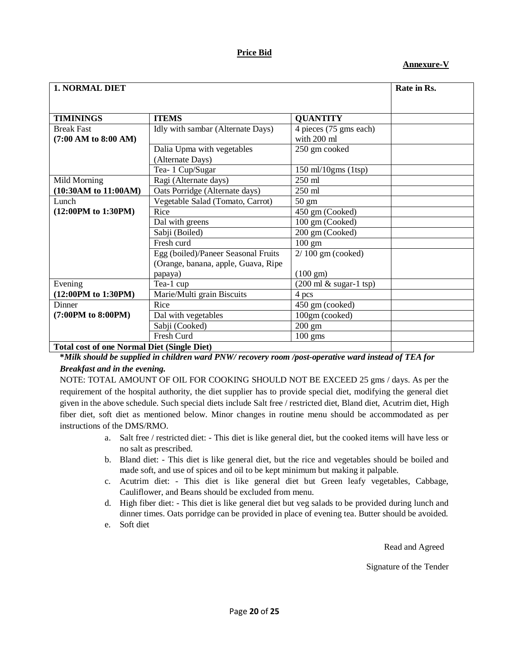# **Price Bid**

# **Annexure-V**

| <b>1. NORMAL DIET</b>                              |                                                                             |                                            | Rate in Rs. |
|----------------------------------------------------|-----------------------------------------------------------------------------|--------------------------------------------|-------------|
|                                                    |                                                                             |                                            |             |
| <b>TIMININGS</b>                                   | <b>ITEMS</b>                                                                | <b>QUANTITY</b>                            |             |
| <b>Break Fast</b><br>$(7:00$ AM to $8:00$ AM)      | Idly with sambar (Alternate Days)                                           | 4 pieces (75 gms each)<br>with 200 ml      |             |
|                                                    | Dalia Upma with vegetables<br>(Alternate Days)                              | 250 gm cooked                              |             |
|                                                    | Tea- 1 Cup/Sugar                                                            | 150 ml/10gms (1tsp)                        |             |
| Mild Morning                                       | Ragi (Alternate days)                                                       | 250 ml                                     |             |
| (10:30AM to 11:00AM)                               | Oats Porridge (Alternate days)                                              | $250 \text{ ml}$                           |             |
| Lunch                                              | Vegetable Salad (Tomato, Carrot)                                            | $50 \text{ gm}$                            |             |
| (12:00PM to 1:30PM)                                | Rice                                                                        | 450 gm (Cooked)                            |             |
|                                                    | Dal with greens                                                             | 100 gm (Cooked)                            |             |
|                                                    | Sabji (Boiled)                                                              | 200 gm (Cooked)                            |             |
|                                                    | Fresh curd                                                                  | $100 \text{ gm}$                           |             |
|                                                    | Egg (boiled)/Paneer Seasonal Fruits<br>(Orange, banana, apple, Guava, Ripe) | $2/100$ gm (cooked)                        |             |
|                                                    | papaya)                                                                     | $(100 \text{ gm})$                         |             |
| Evening                                            | Tea-1 cup                                                                   | $(200 \text{ ml } \& \text{ sugar-1 typ})$ |             |
| (12:00PM to 1:30PM)                                | Marie/Multi grain Biscuits                                                  | 4 pcs                                      |             |
| <b>Dinner</b>                                      | Rice                                                                        | 450 gm (cooked)                            |             |
| (7:00PM to 8:00PM)                                 | Dal with vegetables                                                         | 100gm (cooked)                             |             |
|                                                    | Sabji (Cooked)                                                              | $200 \text{ gm}$                           |             |
|                                                    | Fresh Curd                                                                  | $100$ gms                                  |             |
| <b>Total cost of one Normal Diet (Single Diet)</b> |                                                                             |                                            |             |

**\****Milk should be supplied in children ward PNW/ recovery room /post-operative ward instead of TEA for Breakfast and in the evening.*

NOTE: TOTAL AMOUNT OF OIL FOR COOKING SHOULD NOT BE EXCEED 25 gms / days. As per the requirement of the hospital authority, the diet supplier has to provide special diet, modifying the general diet given in the above schedule. Such special diets include Salt free / restricted diet, Bland diet, Acutrim diet, High fiber diet, soft diet as mentioned below. Minor changes in routine menu should be accommodated as per instructions of the DMS/RMO.

- a. Salt free / restricted diet: This diet is like general diet, but the cooked items will have less or no salt as prescribed.
- b. Bland diet: This diet is like general diet, but the rice and vegetables should be boiled and made soft, and use of spices and oil to be kept minimum but making it palpable.
- c. Acutrim diet: This diet is like general diet but Green leafy vegetables, Cabbage, Cauliflower, and Beans should be excluded from menu.
- d. High fiber diet: This diet is like general diet but veg salads to be provided during lunch and dinner times. Oats porridge can be provided in place of evening tea. Butter should be avoided.
- e. Soft diet

Read and Agreed

Signature of the Tender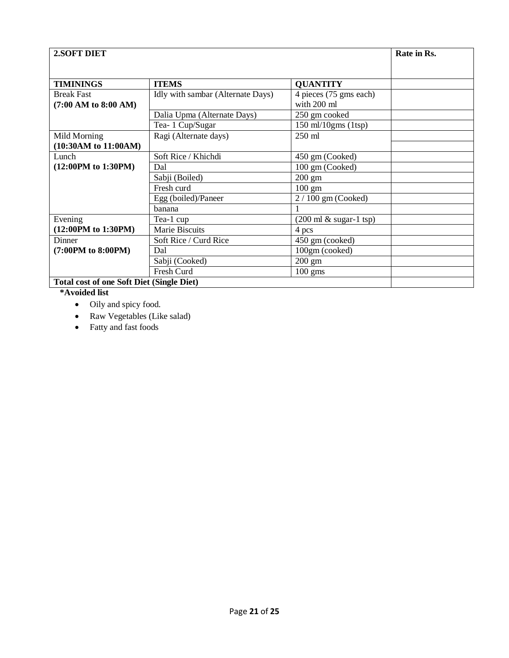| 2.SOFT DIET                                      |                                   |                                            | Rate in Rs. |
|--------------------------------------------------|-----------------------------------|--------------------------------------------|-------------|
|                                                  |                                   |                                            |             |
| <b>TIMININGS</b>                                 | <b>ITEMS</b>                      | <b>QUANTITY</b>                            |             |
| <b>Break Fast</b><br>$(7:00$ AM to $8:00$ AM)    | Idly with sambar (Alternate Days) | 4 pieces (75 gms each)<br>with 200 ml      |             |
|                                                  | Dalia Upma (Alternate Days)       | 250 gm cooked                              |             |
|                                                  | Tea- 1 Cup/Sugar                  | $150$ ml/ $10$ gms (1tsp)                  |             |
| Mild Morning                                     | Ragi (Alternate days)             | $250 \text{ ml}$                           |             |
| (10:30AM to 11:00AM)                             |                                   |                                            |             |
| Lunch                                            | Soft Rice / Khichdi               | 450 gm (Cooked)                            |             |
| (12:00PM to 1:30PM)                              | Dal                               | 100 gm (Cooked)                            |             |
|                                                  | Sabji (Boiled)                    | $200 \text{ gm}$                           |             |
|                                                  | Fresh curd                        | $100 \text{ gm}$                           |             |
|                                                  | Egg (boiled)/Paneer               | $2/100$ gm (Cooked)                        |             |
|                                                  | banana                            |                                            |             |
| Evening                                          | Tea-1 cup                         | $(200 \text{ ml } \& \text{ sugar-1 typ})$ |             |
| (12:00PM to 1:30PM)                              | Marie Biscuits                    | 4 pcs                                      |             |
| Dinner                                           | Soft Rice / Curd Rice             | 450 gm (cooked)                            |             |
| (7:00PM to 8:00PM)                               | Dal                               | 100gm (cooked)                             |             |
|                                                  | Sabji (Cooked)                    | $200 \text{ gm}$                           |             |
|                                                  | Fresh Curd                        | $100 \text{ gms}$                          |             |
| <b>Total cost of one Soft Diet (Single Diet)</b> |                                   |                                            |             |

# **\*Avoided list**

- Oily and spicy food.
- Raw Vegetables (Like salad)
- Fatty and fast foods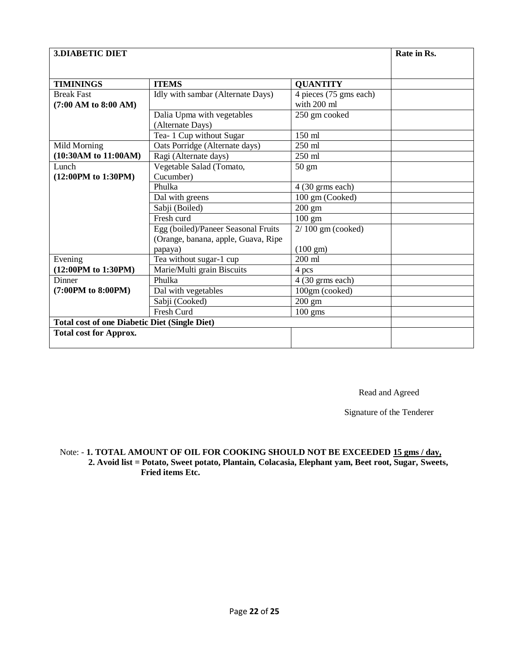| <b>3.DIABETIC DIET</b>                               |                                                |                                       | Rate in Rs. |
|------------------------------------------------------|------------------------------------------------|---------------------------------------|-------------|
|                                                      |                                                |                                       |             |
| <b>TIMININGS</b>                                     | <b>ITEMS</b>                                   | <b>QUANTITY</b>                       |             |
| <b>Break Fast</b><br>$(7:00$ AM to $8:00$ AM)        | Idly with sambar (Alternate Days)              | 4 pieces (75 gms each)<br>with 200 ml |             |
|                                                      | Dalia Upma with vegetables<br>(Alternate Days) | 250 gm cooked                         |             |
|                                                      | Tea- 1 Cup without Sugar                       | 150 ml                                |             |
| Mild Morning                                         | Oats Porridge (Alternate days)                 | 250 ml                                |             |
| (10:30AM to 11:00AM)                                 | Ragi (Alternate days)                          | 250 ml                                |             |
| Lunch                                                | Vegetable Salad (Tomato,                       | $50 \text{ gm}$                       |             |
| (12:00PM to 1:30PM)                                  | Cucumber)                                      |                                       |             |
|                                                      | Phulka                                         | $4(30 \text{ grams each})$            |             |
|                                                      | Dal with greens                                | 100 gm (Cooked)                       |             |
|                                                      | Sabji (Boiled)                                 | $200 \text{ gm}$                      |             |
|                                                      | Fresh curd                                     | $100 \text{ gm}$                      |             |
|                                                      | Egg (boiled)/Paneer Seasonal Fruits            | $2/100$ gm (cooked)                   |             |
|                                                      | (Orange, banana, apple, Guava, Ripe            |                                       |             |
|                                                      | papaya)                                        | $(100 \text{ gm})$                    |             |
| Evening                                              | Tea without sugar-1 cup                        | $200$ ml                              |             |
| (12:00PM to 1:30PM)                                  | Marie/Multi grain Biscuits                     | 4 pcs                                 |             |
| Dinner                                               | Phulka                                         | 4 (30 grms each)                      |             |
| (7:00PM to 8:00PM)                                   | Dal with vegetables                            | 100gm (cooked)                        |             |
|                                                      | Sabji (Cooked)                                 | $200 \text{ gm}$                      |             |
|                                                      | Fresh Curd                                     | $100$ gms                             |             |
| <b>Total cost of one Diabetic Diet (Single Diet)</b> |                                                |                                       |             |
| <b>Total cost for Approx.</b>                        |                                                |                                       |             |
|                                                      |                                                |                                       |             |

Read and Agreed

Signature of the Tenderer

## Note: - **1. TOTAL AMOUNT OF OIL FOR COOKING SHOULD NOT BE EXCEEDED 15 gms / day, 2. Avoid list = Potato, Sweet potato, Plantain, Colacasia, Elephant yam, Beet root, Sugar, Sweets, Fried items Etc.**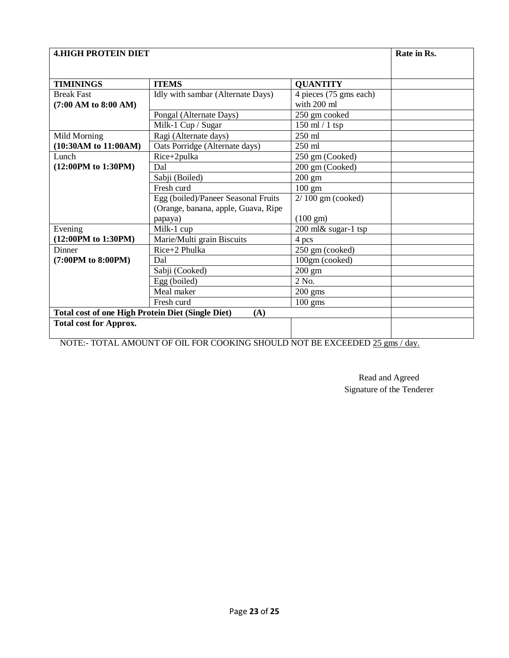| <b>4.HIGH PROTEIN DIET</b>                               | Rate in Rs.                         |                                       |  |
|----------------------------------------------------------|-------------------------------------|---------------------------------------|--|
|                                                          |                                     |                                       |  |
| <b>TIMININGS</b>                                         | <b>ITEMS</b>                        | <b>QUANTITY</b>                       |  |
| <b>Break Fast</b><br>$(7:00$ AM to 8:00 AM)              | Idly with sambar (Alternate Days)   | 4 pieces (75 gms each)<br>with 200 ml |  |
|                                                          | Pongal (Alternate Days)             | 250 gm cooked                         |  |
|                                                          | Milk-1 Cup / Sugar                  | 150 ml / 1 tsp                        |  |
| Mild Morning                                             | Ragi (Alternate days)               | 250 ml                                |  |
| (10:30AM to 11:00AM)                                     | Oats Porridge (Alternate days)      | 250 ml                                |  |
| Lunch                                                    | Rice+2pulka                         | 250 gm (Cooked)                       |  |
| (12:00PM to 1:30PM)                                      | Dal                                 | 200 gm (Cooked)                       |  |
|                                                          | Sabji (Boiled)                      | 200 gm                                |  |
|                                                          | Fresh curd                          | 100 gm                                |  |
|                                                          | Egg (boiled)/Paneer Seasonal Fruits | $2/100$ gm (cooked)                   |  |
|                                                          | (Orange, banana, apple, Guava, Ripe |                                       |  |
|                                                          | papaya)                             | $(100 \text{ gm})$                    |  |
| Evening                                                  | Milk-1 cup                          | 200 ml& sugar-1 tsp                   |  |
| (12:00PM to 1:30PM)                                      | Marie/Multi grain Biscuits          | 4 pcs                                 |  |
| Dinner                                                   | $Rice+2$ Phulka                     | 250 gm (cooked)                       |  |
| (7:00PM to 8:00PM)                                       | Dal                                 | 100gm (cooked)                        |  |
|                                                          | Sabji (Cooked)                      | 200 gm                                |  |
|                                                          | Egg (boiled)                        | 2 No.                                 |  |
|                                                          | Meal maker                          | $200$ gms                             |  |
|                                                          | Fresh curd                          | $100$ gms                             |  |
| <b>Total cost of one High Protein Diet (Single Diet)</b> |                                     |                                       |  |
| <b>Total cost for Approx.</b>                            |                                     |                                       |  |

NOTE:- TOTAL AMOUNT OF OIL FOR COOKING SHOULD NOT BE EXCEEDED 25 gms / day.

Read and Agreed Signature of the Tenderer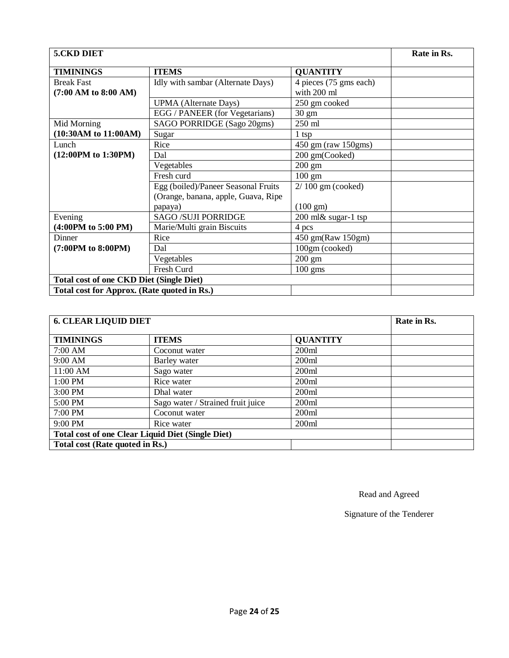| <b>5.CKD DIET</b>                               |                                     |                        | Rate in Rs. |
|-------------------------------------------------|-------------------------------------|------------------------|-------------|
| <b>TIMININGS</b>                                | <b>ITEMS</b>                        | <b>QUANTITY</b>        |             |
| <b>Break Fast</b>                               | Idly with sambar (Alternate Days)   | 4 pieces (75 gms each) |             |
| $(7:00$ AM to $8:00$ AM)                        |                                     | with 200 ml            |             |
|                                                 | <b>UPMA</b> (Alternate Days)        | 250 gm cooked          |             |
|                                                 | EGG / PANEER (for Vegetarians)      | $30 \text{ gm}$        |             |
| Mid Morning                                     | SAGO PORRIDGE (Sago 20gms)          | 250 ml                 |             |
| $(10:30AM \text{ to } 11:00AM)$                 | Sugar                               | $1$ tsp                |             |
| Lunch                                           | Rice                                | 450 gm (raw 150gms)    |             |
| (12:00PM to 1:30PM)                             | Dal                                 | 200 gm(Cooked)         |             |
|                                                 | Vegetables                          | $200 \text{ gm}$       |             |
|                                                 | Fresh curd                          | $100 \text{ gm}$       |             |
|                                                 | Egg (boiled)/Paneer Seasonal Fruits | $2/100$ gm (cooked)    |             |
|                                                 | (Orange, banana, apple, Guava, Ripe |                        |             |
|                                                 | papaya)                             | $(100 \text{ gm})$     |             |
| Evening                                         | <b>SAGO /SUJI PORRIDGE</b>          | $200$ ml& sugar-1 tsp  |             |
| $(4:00PM$ to 5:00 PM)                           | Marie/Multi grain Biscuits          | 4 pcs                  |             |
| Dinner                                          | Rice                                | 450 gm(Raw 150gm)      |             |
| (7:00PM to 8:00PM)                              | Dal                                 | 100gm (cooked)         |             |
|                                                 | Vegetables                          | $200 \text{ gm}$       |             |
|                                                 | Fresh Curd                          | $100 \text{ gms}$      |             |
| <b>Total cost of one CKD Diet (Single Diet)</b> |                                     |                        |             |
| Total cost for Approx. (Rate quoted in Rs.)     |                                     |                        |             |

| <b>6. CLEAR LIQUID DIET</b>                              | Rate in Rs.                       |                 |  |  |
|----------------------------------------------------------|-----------------------------------|-----------------|--|--|
| <b>TIMININGS</b>                                         | <b>ITEMS</b>                      | <b>QUANTITY</b> |  |  |
| 7:00 AM                                                  | Coconut water                     | 200ml           |  |  |
| 9:00 AM                                                  | Barley water                      | 200ml           |  |  |
| 11:00 AM                                                 | Sago water                        | 200ml           |  |  |
| 1:00 PM                                                  | Rice water                        | 200ml           |  |  |
| 3:00 PM                                                  | Dhal water                        | 200ml           |  |  |
| 5:00 PM                                                  | Sago water / Strained fruit juice | 200ml           |  |  |
| 7:00 PM                                                  | Coconut water                     | 200ml           |  |  |
| 9:00 PM                                                  | Rice water                        | 200ml           |  |  |
| <b>Total cost of one Clear Liquid Diet (Single Diet)</b> |                                   |                 |  |  |
| Total cost (Rate quoted in Rs.)                          |                                   |                 |  |  |

Read and Agreed

Signature of the Tenderer